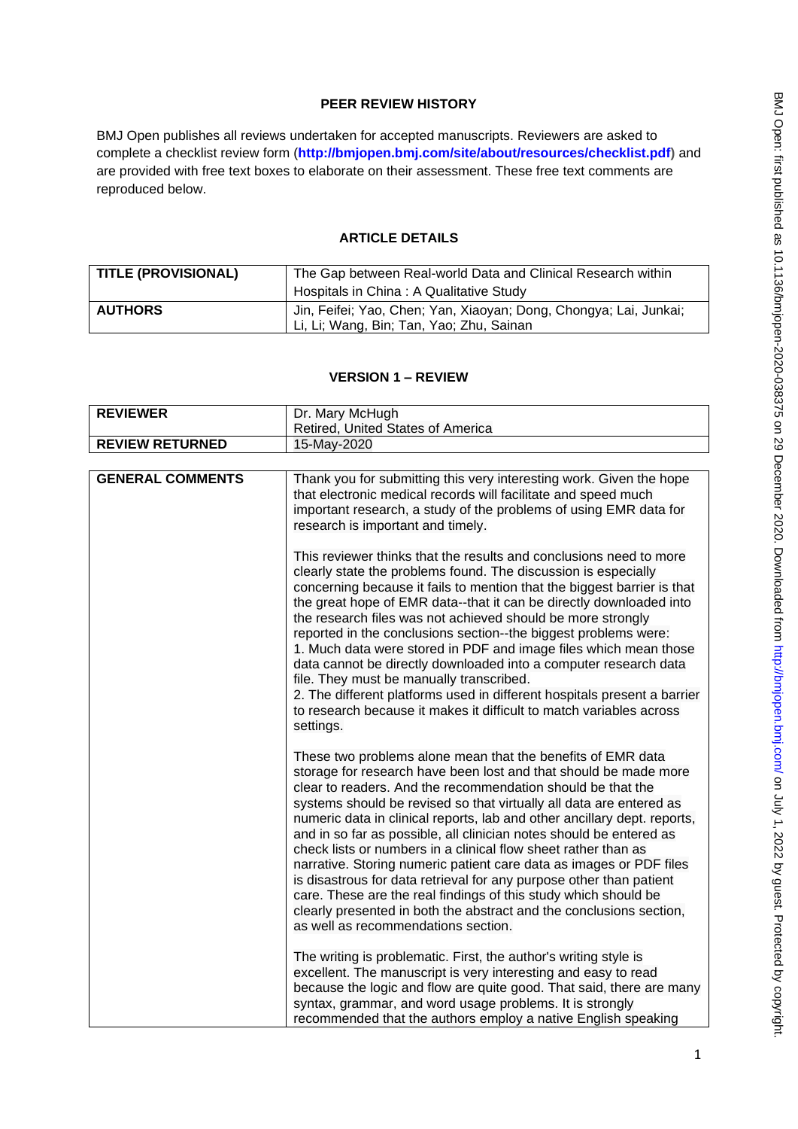# **PEER REVIEW HISTORY**

BMJ Open publishes all reviews undertaken for accepted manuscripts. Reviewers are asked to complete a checklist review form (**[http://bmjopen.bmj.com/site/about/resources/checklist.pdf\)](http://bmjopen.bmj.com/site/about/resources/checklist.pdf)** and are provided with free text boxes to elaborate on their assessment. These free text comments are reproduced below.

## **ARTICLE DETAILS**

| <b>TITLE (PROVISIONAL)</b> | The Gap between Real-world Data and Clinical Research within      |
|----------------------------|-------------------------------------------------------------------|
|                            | Hospitals in China: A Qualitative Study                           |
| <b>AUTHORS</b>             | Jin, Feifei; Yao, Chen; Yan, Xiaoyan; Dong, Chongya; Lai, Junkai; |
|                            | Li, Li; Wang, Bin; Tan, Yao; Zhu, Sainan                          |

## **VERSION 1 – REVIEW**

| <b>REVIEWER</b>         | Dr. Mary McHugh                                                                                                                                                                                                                                                                                                                                                                                                                                                                                                                                                                                                                                                                                                                                                                                                           |
|-------------------------|---------------------------------------------------------------------------------------------------------------------------------------------------------------------------------------------------------------------------------------------------------------------------------------------------------------------------------------------------------------------------------------------------------------------------------------------------------------------------------------------------------------------------------------------------------------------------------------------------------------------------------------------------------------------------------------------------------------------------------------------------------------------------------------------------------------------------|
|                         | Retired, United States of America                                                                                                                                                                                                                                                                                                                                                                                                                                                                                                                                                                                                                                                                                                                                                                                         |
| <b>REVIEW RETURNED</b>  | 15-May-2020                                                                                                                                                                                                                                                                                                                                                                                                                                                                                                                                                                                                                                                                                                                                                                                                               |
|                         |                                                                                                                                                                                                                                                                                                                                                                                                                                                                                                                                                                                                                                                                                                                                                                                                                           |
| <b>GENERAL COMMENTS</b> | Thank you for submitting this very interesting work. Given the hope<br>that electronic medical records will facilitate and speed much<br>important research, a study of the problems of using EMR data for<br>research is important and timely.                                                                                                                                                                                                                                                                                                                                                                                                                                                                                                                                                                           |
|                         | This reviewer thinks that the results and conclusions need to more<br>clearly state the problems found. The discussion is especially<br>concerning because it fails to mention that the biggest barrier is that<br>the great hope of EMR data--that it can be directly downloaded into<br>the research files was not achieved should be more strongly<br>reported in the conclusions section--the biggest problems were:<br>1. Much data were stored in PDF and image files which mean those<br>data cannot be directly downloaded into a computer research data<br>file. They must be manually transcribed.<br>2. The different platforms used in different hospitals present a barrier<br>to research because it makes it difficult to match variables across<br>settings.                                              |
|                         | These two problems alone mean that the benefits of EMR data<br>storage for research have been lost and that should be made more<br>clear to readers. And the recommendation should be that the<br>systems should be revised so that virtually all data are entered as<br>numeric data in clinical reports, lab and other ancillary dept. reports,<br>and in so far as possible, all clinician notes should be entered as<br>check lists or numbers in a clinical flow sheet rather than as<br>narrative. Storing numeric patient care data as images or PDF files<br>is disastrous for data retrieval for any purpose other than patient<br>care. These are the real findings of this study which should be<br>clearly presented in both the abstract and the conclusions section,<br>as well as recommendations section. |
|                         | The writing is problematic. First, the author's writing style is<br>excellent. The manuscript is very interesting and easy to read<br>because the logic and flow are quite good. That said, there are many<br>syntax, grammar, and word usage problems. It is strongly<br>recommended that the authors employ a native English speaking                                                                                                                                                                                                                                                                                                                                                                                                                                                                                   |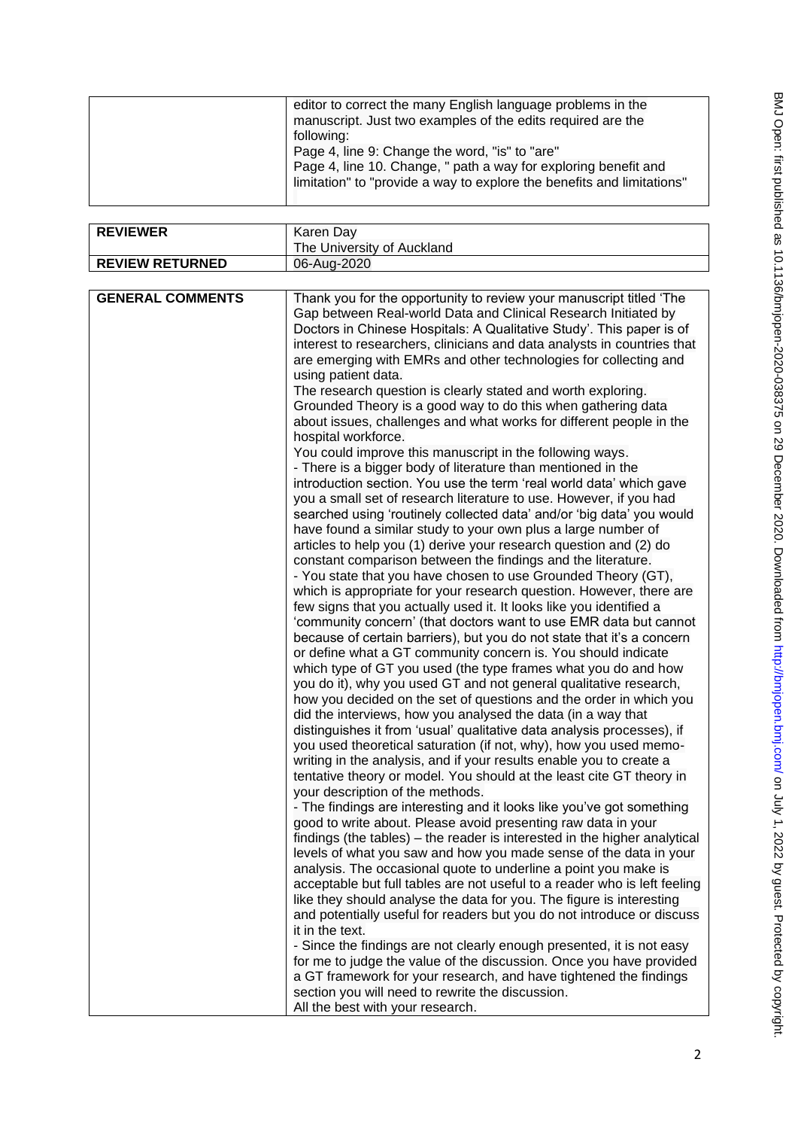| editor to correct the many English language problems in the<br>manuscript. Just two examples of the edits required are the                                                                                |
|-----------------------------------------------------------------------------------------------------------------------------------------------------------------------------------------------------------|
| following:<br>Page 4, line 9: Change the word, "is" to "are"<br>Page 4, line 10. Change, " path a way for exploring benefit and<br>limitation" to "provide a way to explore the benefits and limitations" |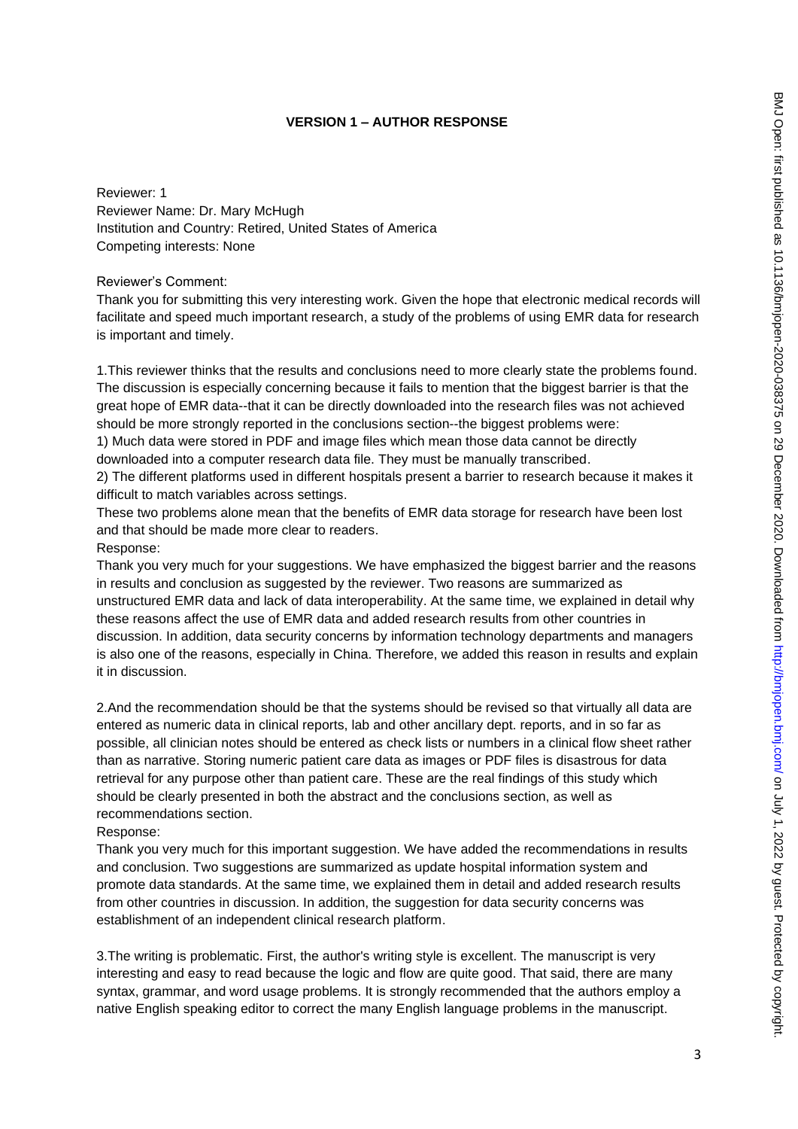### **VERSION 1 – AUTHOR RESPONSE**

Reviewer: 1 Reviewer Name: Dr. Mary McHugh Institution and Country: Retired, United States of America Competing interests: None

Reviewer's Comment:

Thank you for submitting this very interesting work. Given the hope that electronic medical records will facilitate and speed much important research, a study of the problems of using EMR data for research is important and timely.

1.This reviewer thinks that the results and conclusions need to more clearly state the problems found. The discussion is especially concerning because it fails to mention that the biggest barrier is that the great hope of EMR data--that it can be directly downloaded into the research files was not achieved should be more strongly reported in the conclusions section--the biggest problems were:

1) Much data were stored in PDF and image files which mean those data cannot be directly downloaded into a computer research data file. They must be manually transcribed.

2) The different platforms used in different hospitals present a barrier to research because it makes it difficult to match variables across settings.

These two problems alone mean that the benefits of EMR data storage for research have been lost and that should be made more clear to readers.

Response:

Thank you very much for your suggestions. We have emphasized the biggest barrier and the reasons in results and conclusion as suggested by the reviewer. Two reasons are summarized as unstructured EMR data and lack of data interoperability. At the same time, we explained in detail why these reasons affect the use of EMR data and added research results from other countries in discussion. In addition, data security concerns by information technology departments and managers is also one of the reasons, especially in China. Therefore, we added this reason in results and explain it in discussion.

2.And the recommendation should be that the systems should be revised so that virtually all data are entered as numeric data in clinical reports, lab and other ancillary dept. reports, and in so far as possible, all clinician notes should be entered as check lists or numbers in a clinical flow sheet rather than as narrative. Storing numeric patient care data as images or PDF files is disastrous for data retrieval for any purpose other than patient care. These are the real findings of this study which should be clearly presented in both the abstract and the conclusions section, as well as recommendations section.

Response:

Thank you very much for this important suggestion. We have added the recommendations in results and conclusion. Two suggestions are summarized as update hospital information system and promote data standards. At the same time, we explained them in detail and added research results from other countries in discussion. In addition, the suggestion for data security concerns was establishment of an independent clinical research platform.

3.The writing is problematic. First, the author's writing style is excellent. The manuscript is very interesting and easy to read because the logic and flow are quite good. That said, there are many syntax, grammar, and word usage problems. It is strongly recommended that the authors employ a native English speaking editor to correct the many English language problems in the manuscript.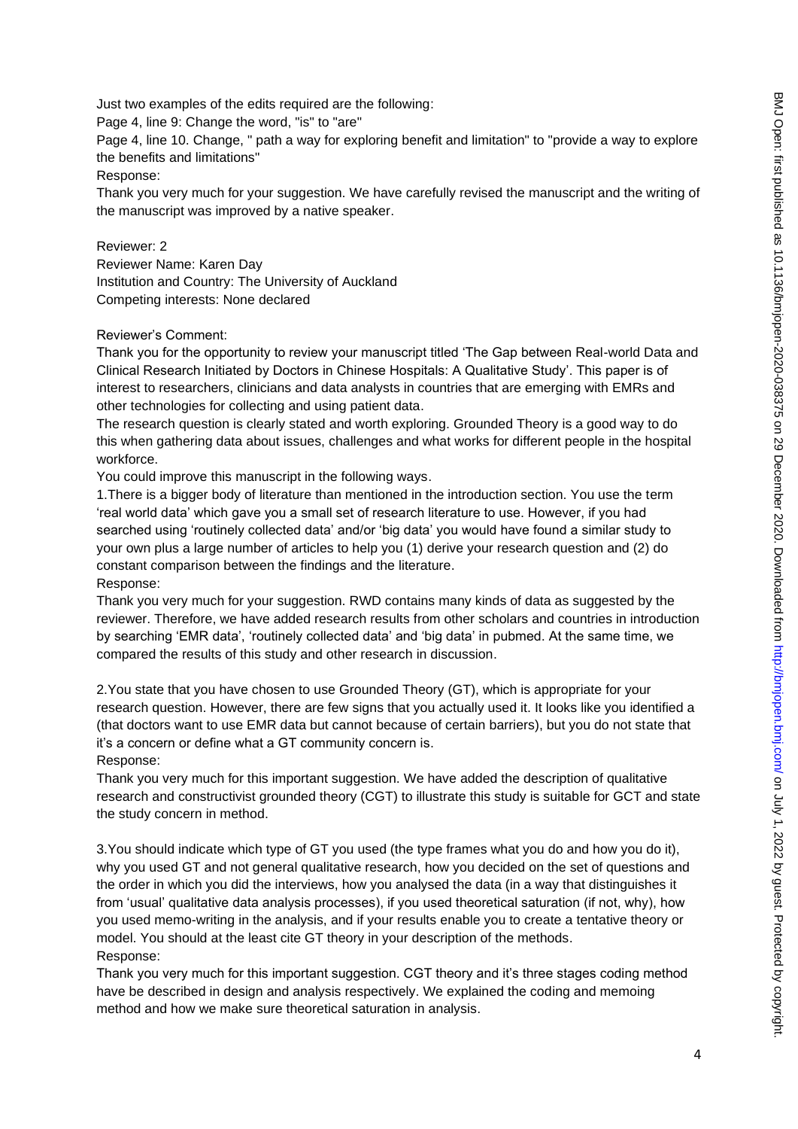Just two examples of the edits required are the following:

Page 4, line 9: Change the word, "is" to "are"

Page 4, line 10. Change, " path a way for exploring benefit and limitation" to "provide a way to explore the benefits and limitations"

Response:

Thank you very much for your suggestion. We have carefully revised the manuscript and the writing of the manuscript was improved by a native speaker.

Reviewer: 2

Reviewer Name: Karen Day Institution and Country: The University of Auckland Competing interests: None declared

# Reviewer's Comment:

Thank you for the opportunity to review your manuscript titled 'The Gap between Real-world Data and Clinical Research Initiated by Doctors in Chinese Hospitals: A Qualitative Study'. This paper is of interest to researchers, clinicians and data analysts in countries that are emerging with EMRs and other technologies for collecting and using patient data.

The research question is clearly stated and worth exploring. Grounded Theory is a good way to do this when gathering data about issues, challenges and what works for different people in the hospital workforce.

You could improve this manuscript in the following ways.

1.There is a bigger body of literature than mentioned in the introduction section. You use the term 'real world data' which gave you a small set of research literature to use. However, if you had searched using 'routinely collected data' and/or 'big data' you would have found a similar study to your own plus a large number of articles to help you (1) derive your research question and (2) do constant comparison between the findings and the literature.

# Response:

Thank you very much for your suggestion. RWD contains many kinds of data as suggested by the reviewer. Therefore, we have added research results from other scholars and countries in introduction by searching 'EMR data', 'routinely collected data' and 'big data' in pubmed. At the same time, we compared the results of this study and other research in discussion.

2.You state that you have chosen to use Grounded Theory (GT), which is appropriate for your research question. However, there are few signs that you actually used it. It looks like you identified a (that doctors want to use EMR data but cannot because of certain barriers), but you do not state that it's a concern or define what a GT community concern is. Response:

Thank you very much for this important suggestion. We have added the description of qualitative research and constructivist grounded theory (CGT) to illustrate this study is suitable for GCT and state the study concern in method.

3.You should indicate which type of GT you used (the type frames what you do and how you do it), why you used GT and not general qualitative research, how you decided on the set of questions and the order in which you did the interviews, how you analysed the data (in a way that distinguishes it from 'usual' qualitative data analysis processes), if you used theoretical saturation (if not, why), how you used memo-writing in the analysis, and if your results enable you to create a tentative theory or model. You should at the least cite GT theory in your description of the methods. Response:

Thank you very much for this important suggestion. CGT theory and it's three stages coding method have be described in design and analysis respectively. We explained the coding and memoing method and how we make sure theoretical saturation in analysis.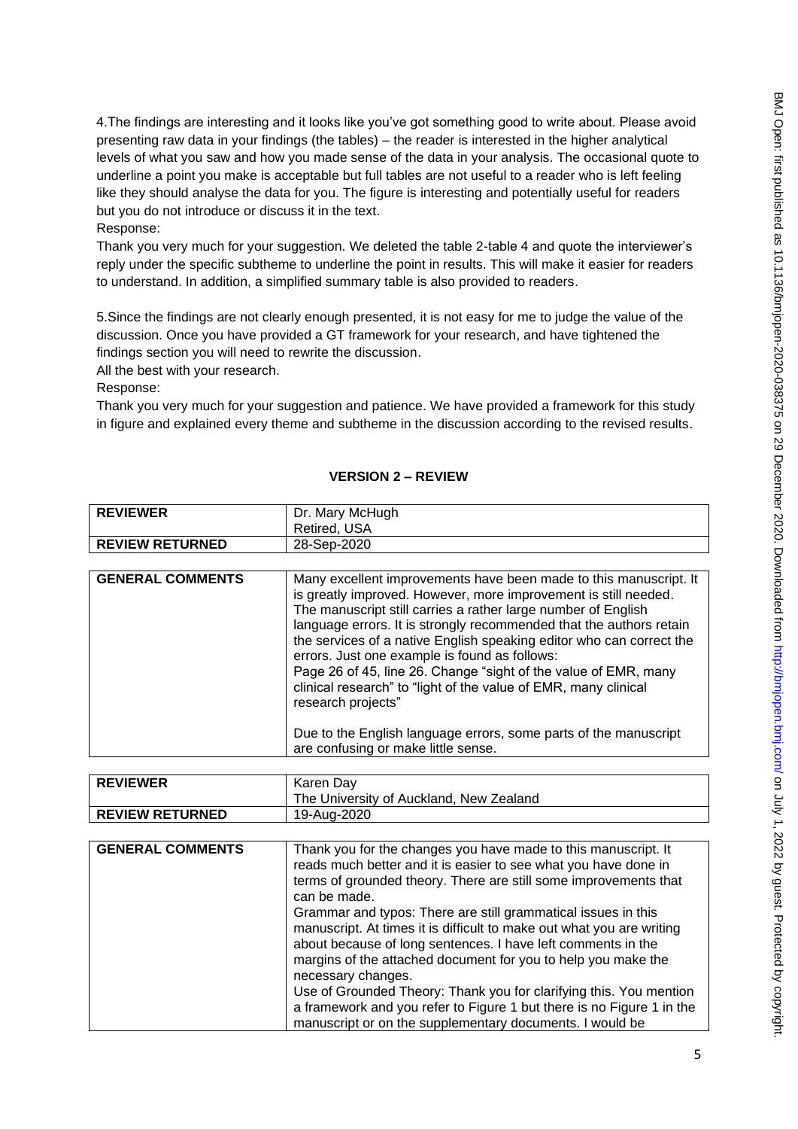4.The findings are interesting and it looks like you've got something good to write about. Please avoid presenting raw data in your findings (the tables) – the reader is interested in the higher analytical levels of what you saw and how you made sense of the data in your analysis. The occasional quote to underline a point you make is acceptable but full tables are not useful to a reader who is left feeling like they should analyse the data for you. The figure is interesting and potentially useful for readers but you do not introduce or discuss it in the text.

# Response:

Thank you very much for your suggestion. We deleted the table 2-table 4 and quote the interviewer's reply under the specific subtheme to underline the point in results. This will make it easier for readers to understand. In addition, a simplified summary table is also provided to readers.

5.Since the findings are not clearly enough presented, it is not easy for me to judge the value of the discussion. Once you have provided a GT framework for your research, and have tightened the findings section you will need to rewrite the discussion.

All the best with your research.

Response:

Thank you very much for your suggestion and patience. We have provided a framework for this study in figure and explained every theme and subtheme in the discussion according to the revised results.

# **VERSION 2 – REVIEW**

| <b>REVIEWER</b>        | Dr. Mary McHugh<br>Retired, USA |
|------------------------|---------------------------------|
| <b>REVIEW RETURNED</b> | 28-Sep-2020                     |

| <b>GENERAL COMMENTS</b> | Many excellent improvements have been made to this manuscript. It<br>is greatly improved. However, more improvement is still needed.<br>The manuscript still carries a rather large number of English<br>language errors. It is strongly recommended that the authors retain<br>the services of a native English speaking editor who can correct the<br>errors. Just one example is found as follows:<br>Page 26 of 45, line 26. Change "sight of the value of EMR, many<br>clinical research" to "light of the value of EMR, many clinical<br>research projects" |
|-------------------------|-------------------------------------------------------------------------------------------------------------------------------------------------------------------------------------------------------------------------------------------------------------------------------------------------------------------------------------------------------------------------------------------------------------------------------------------------------------------------------------------------------------------------------------------------------------------|
|                         | Due to the English language errors, some parts of the manuscript<br>are confusing or make little sense.                                                                                                                                                                                                                                                                                                                                                                                                                                                           |

| <b>REVIEWER</b>        | Karen Day<br>The University of Auckland, New Zealand |
|------------------------|------------------------------------------------------|
| <b>REVIEW RETURNED</b> | 19-Aug-2020                                          |

| <b>GENERAL COMMENTS</b> | Thank you for the changes you have made to this manuscript. It<br>reads much better and it is easier to see what you have done in<br>terms of grounded theory. There are still some improvements that<br>can be made.                                                                         |
|-------------------------|-----------------------------------------------------------------------------------------------------------------------------------------------------------------------------------------------------------------------------------------------------------------------------------------------|
|                         | Grammar and typos: There are still grammatical issues in this<br>manuscript. At times it is difficult to make out what you are writing<br>about because of long sentences. I have left comments in the<br>margins of the attached document for you to help you make the<br>necessary changes. |
|                         | Use of Grounded Theory: Thank you for clarifying this. You mention<br>a framework and you refer to Figure 1 but there is no Figure 1 in the<br>manuscript or on the supplementary documents. I would be                                                                                       |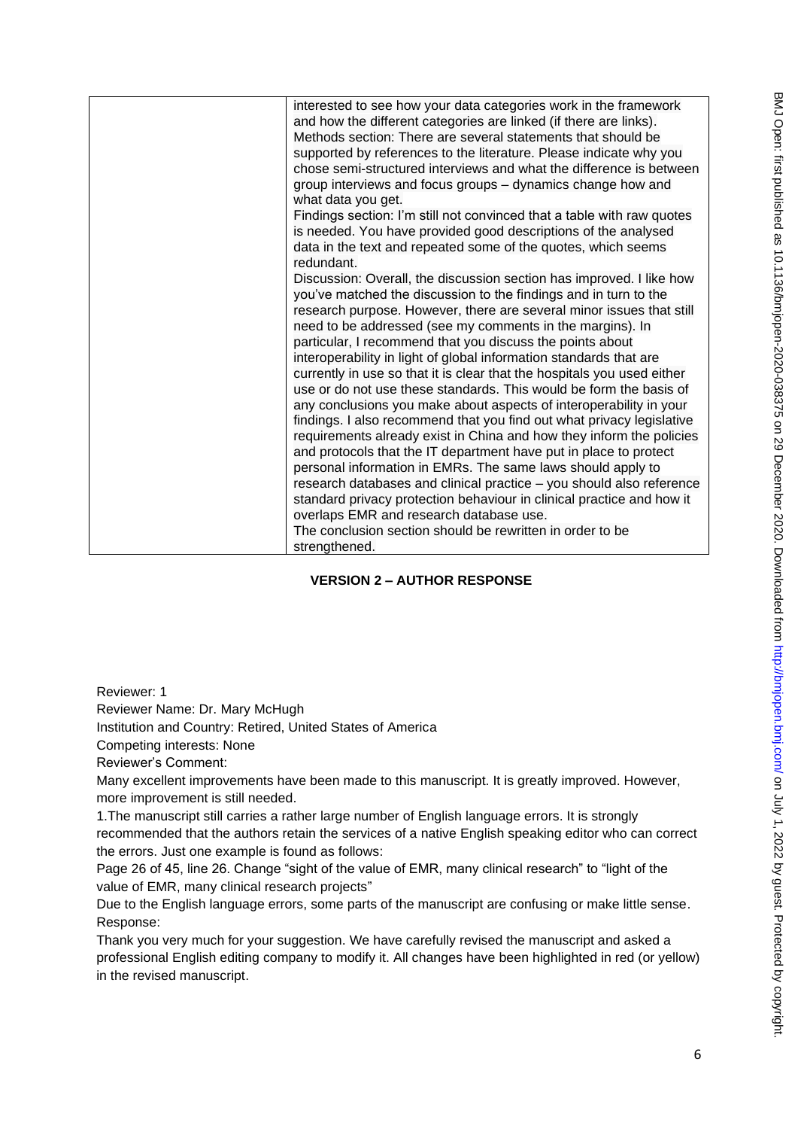| interested to see how your data categories work in the framework<br>and how the different categories are linked (if there are links).<br>Methods section: There are several statements that should be<br>supported by references to the literature. Please indicate why you<br>chose semi-structured interviews and what the difference is between<br>group interviews and focus groups - dynamics change how and<br>what data you get.                                                                                                                                                                                                                                                                                                                                                                                                                                                                                                                                                                                                                                       |
|-------------------------------------------------------------------------------------------------------------------------------------------------------------------------------------------------------------------------------------------------------------------------------------------------------------------------------------------------------------------------------------------------------------------------------------------------------------------------------------------------------------------------------------------------------------------------------------------------------------------------------------------------------------------------------------------------------------------------------------------------------------------------------------------------------------------------------------------------------------------------------------------------------------------------------------------------------------------------------------------------------------------------------------------------------------------------------|
| Findings section: I'm still not convinced that a table with raw quotes<br>is needed. You have provided good descriptions of the analysed<br>data in the text and repeated some of the quotes, which seems<br>redundant.                                                                                                                                                                                                                                                                                                                                                                                                                                                                                                                                                                                                                                                                                                                                                                                                                                                       |
| Discussion: Overall, the discussion section has improved. I like how<br>you've matched the discussion to the findings and in turn to the<br>research purpose. However, there are several minor issues that still<br>need to be addressed (see my comments in the margins). In<br>particular, I recommend that you discuss the points about<br>interoperability in light of global information standards that are<br>currently in use so that it is clear that the hospitals you used either<br>use or do not use these standards. This would be form the basis of<br>any conclusions you make about aspects of interoperability in your<br>findings. I also recommend that you find out what privacy legislative<br>requirements already exist in China and how they inform the policies<br>and protocols that the IT department have put in place to protect<br>personal information in EMRs. The same laws should apply to<br>research databases and clinical practice - you should also reference<br>standard privacy protection behaviour in clinical practice and how it |
| overlaps EMR and research database use.<br>The conclusion section should be rewritten in order to be<br>strengthened.                                                                                                                                                                                                                                                                                                                                                                                                                                                                                                                                                                                                                                                                                                                                                                                                                                                                                                                                                         |

# **VERSION 2 – AUTHOR RESPONSE**

Reviewer: 1

Reviewer Name: Dr. Mary McHugh

Institution and Country: Retired, United States of America

Competing interests: None

Reviewer's Comment:

Many excellent improvements have been made to this manuscript. It is greatly improved. However, more improvement is still needed.

1.The manuscript still carries a rather large number of English language errors. It is strongly recommended that the authors retain the services of a native English speaking editor who can correct the errors. Just one example is found as follows:

Page 26 of 45, line 26. Change "sight of the value of EMR, many clinical research" to "light of the value of EMR, many clinical research projects"

Due to the English language errors, some parts of the manuscript are confusing or make little sense. Response:

Thank you very much for your suggestion. We have carefully revised the manuscript and asked a professional English editing company to modify it. All changes have been highlighted in red (or yellow) in the revised manuscript.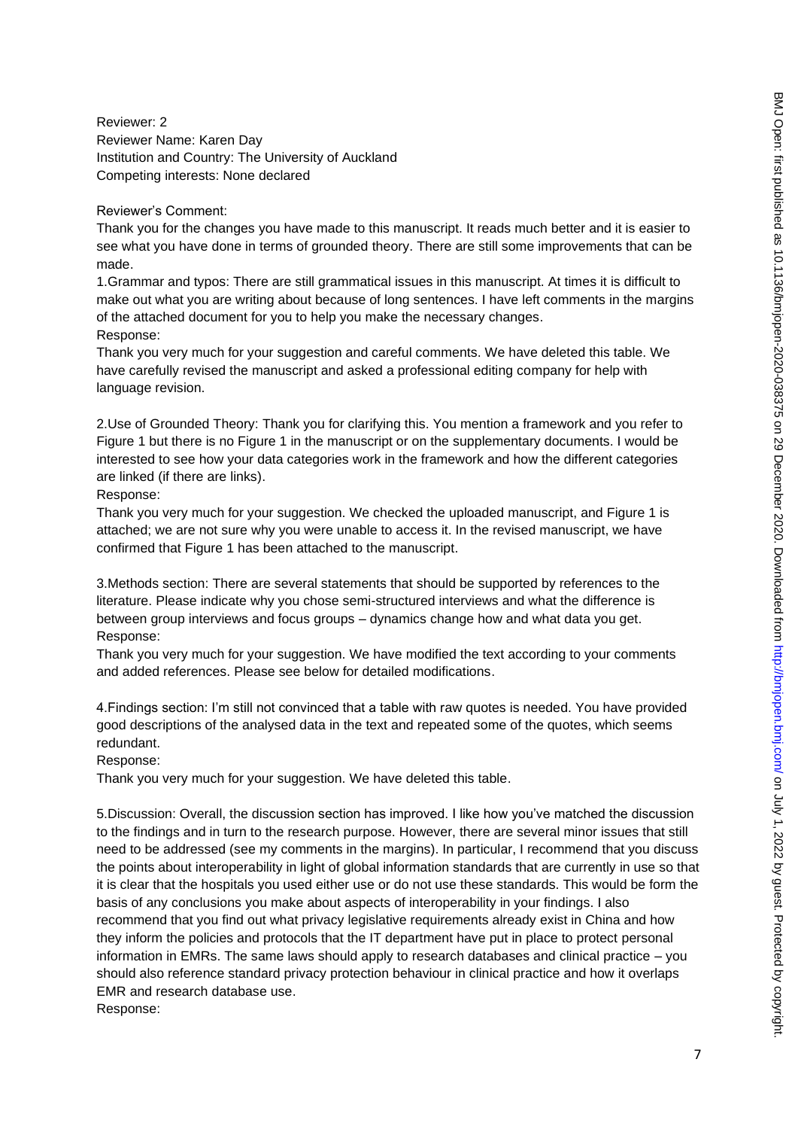Reviewer: 2 Reviewer Name: Karen Day Institution and Country: The University of Auckland Competing interests: None declared

#### Reviewer's Comment:

Thank you for the changes you have made to this manuscript. It reads much better and it is easier to see what you have done in terms of grounded theory. There are still some improvements that can be made.

1.Grammar and typos: There are still grammatical issues in this manuscript. At times it is difficult to make out what you are writing about because of long sentences. I have left comments in the margins of the attached document for you to help you make the necessary changes. Response:

Thank you very much for your suggestion and careful comments. We have deleted this table. We have carefully revised the manuscript and asked a professional editing company for help with language revision.

2.Use of Grounded Theory: Thank you for clarifying this. You mention a framework and you refer to Figure 1 but there is no Figure 1 in the manuscript or on the supplementary documents. I would be interested to see how your data categories work in the framework and how the different categories are linked (if there are links).

### Response:

Thank you very much for your suggestion. We checked the uploaded manuscript, and Figure 1 is attached; we are not sure why you were unable to access it. In the revised manuscript, we have confirmed that Figure 1 has been attached to the manuscript.

3.Methods section: There are several statements that should be supported by references to the literature. Please indicate why you chose semi-structured interviews and what the difference is between group interviews and focus groups – dynamics change how and what data you get. Response:

Thank you very much for your suggestion. We have modified the text according to your comments and added references. Please see below for detailed modifications.

4.Findings section: I'm still not convinced that a table with raw quotes is needed. You have provided good descriptions of the analysed data in the text and repeated some of the quotes, which seems redundant.

### Response:

Thank you very much for your suggestion. We have deleted this table.

5.Discussion: Overall, the discussion section has improved. I like how you've matched the discussion to the findings and in turn to the research purpose. However, there are several minor issues that still need to be addressed (see my comments in the margins). In particular, I recommend that you discuss the points about interoperability in light of global information standards that are currently in use so that it is clear that the hospitals you used either use or do not use these standards. This would be form the basis of any conclusions you make about aspects of interoperability in your findings. I also recommend that you find out what privacy legislative requirements already exist in China and how they inform the policies and protocols that the IT department have put in place to protect personal information in EMRs. The same laws should apply to research databases and clinical practice – you should also reference standard privacy protection behaviour in clinical practice and how it overlaps EMR and research database use. Response: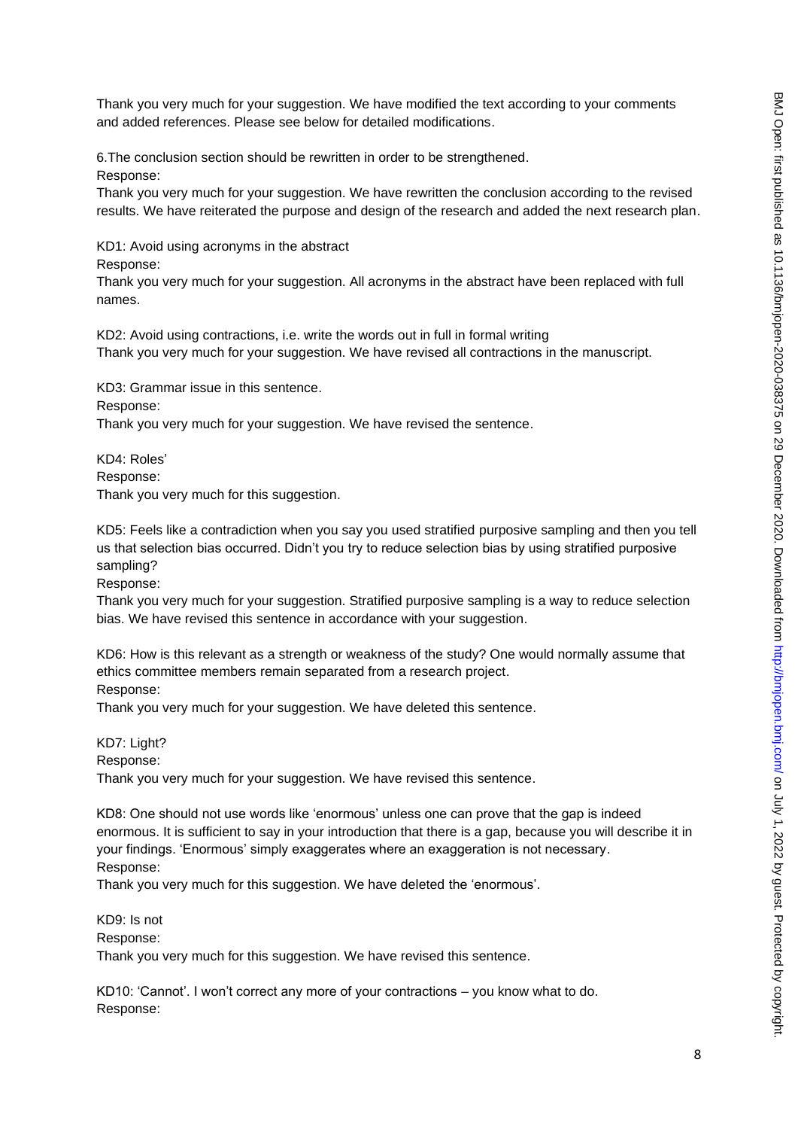Thank you very much for your suggestion. We have modified the text according to your comments and added references. Please see below for detailed modifications.

6.The conclusion section should be rewritten in order to be strengthened. Response:

Thank you very much for your suggestion. We have rewritten the conclusion according to the revised results. We have reiterated the purpose and design of the research and added the next research plan.

KD1: Avoid using acronyms in the abstract

Response:

Thank you very much for your suggestion. All acronyms in the abstract have been replaced with full names.

KD2: Avoid using contractions, i.e. write the words out in full in formal writing Thank you very much for your suggestion. We have revised all contractions in the manuscript.

KD3: Grammar issue in this sentence. Response: Thank you very much for your suggestion. We have revised the sentence.

KD4: Roles' Response: Thank you very much for this suggestion.

KD5: Feels like a contradiction when you say you used stratified purposive sampling and then you tell us that selection bias occurred. Didn't you try to reduce selection bias by using stratified purposive sampling?

Response:

Thank you very much for your suggestion. Stratified purposive sampling is a way to reduce selection bias. We have revised this sentence in accordance with your suggestion.

KD6: How is this relevant as a strength or weakness of the study? One would normally assume that ethics committee members remain separated from a research project.

Response:

Thank you very much for your suggestion. We have deleted this sentence.

KD7: Light? Response: Thank you very much for your suggestion. We have revised this sentence.

KD8: One should not use words like 'enormous' unless one can prove that the gap is indeed enormous. It is sufficient to say in your introduction that there is a gap, because you will describe it in your findings. 'Enormous' simply exaggerates where an exaggeration is not necessary. Response:

Thank you very much for this suggestion. We have deleted the 'enormous'.

KD9: Is not Response: Thank you very much for this suggestion. We have revised this sentence.

KD10: 'Cannot'. I won't correct any more of your contractions – you know what to do. Response: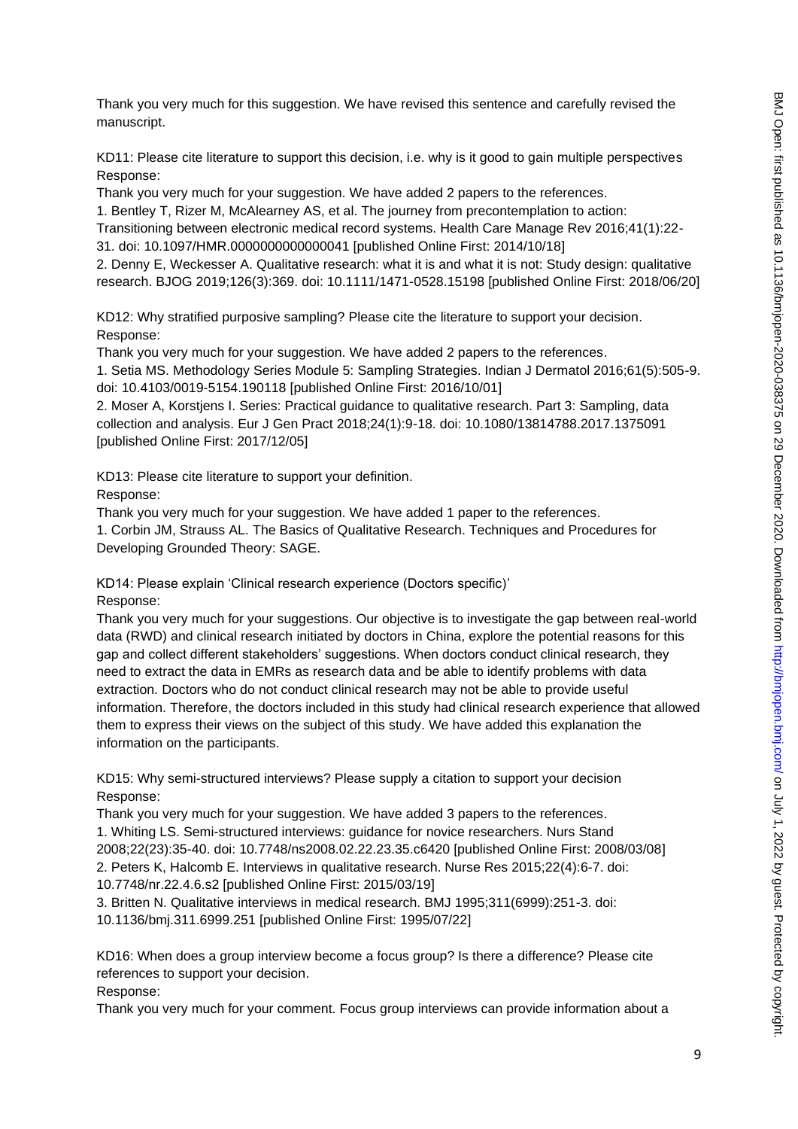Thank you very much for this suggestion. We have revised this sentence and carefully revised the manuscript.

KD11: Please cite literature to support this decision, i.e. why is it good to gain multiple perspectives Response:

Thank you very much for your suggestion. We have added 2 papers to the references.

1. Bentley T, Rizer M, McAlearney AS, et al. The journey from precontemplation to action:

Transitioning between electronic medical record systems. Health Care Manage Rev 2016;41(1):22-

31. doi: 10.1097/HMR.0000000000000041 [published Online First: 2014/10/18]

2. Denny E, Weckesser A. Qualitative research: what it is and what it is not: Study design: qualitative research. BJOG 2019;126(3):369. doi: 10.1111/1471-0528.15198 [published Online First: 2018/06/20]

KD12: Why stratified purposive sampling? Please cite the literature to support your decision. Response:

Thank you very much for your suggestion. We have added 2 papers to the references.

1. Setia MS. Methodology Series Module 5: Sampling Strategies. Indian J Dermatol 2016;61(5):505-9. doi: 10.4103/0019-5154.190118 [published Online First: 2016/10/01]

2. Moser A, Korstjens I. Series: Practical guidance to qualitative research. Part 3: Sampling, data collection and analysis. Eur J Gen Pract 2018;24(1):9-18. doi: 10.1080/13814788.2017.1375091 [published Online First: 2017/12/05]

KD13: Please cite literature to support your definition.

Response:

Thank you very much for your suggestion. We have added 1 paper to the references.

1. Corbin JM, Strauss AL. The Basics of Qualitative Research. Techniques and Procedures for Developing Grounded Theory: SAGE.

KD14: Please explain 'Clinical research experience (Doctors specific)'

Response:

Thank you very much for your suggestions. Our objective is to investigate the gap between real-world data (RWD) and clinical research initiated by doctors in China, explore the potential reasons for this gap and collect different stakeholders' suggestions. When doctors conduct clinical research, they need to extract the data in EMRs as research data and be able to identify problems with data extraction. Doctors who do not conduct clinical research may not be able to provide useful information. Therefore, the doctors included in this study had clinical research experience that allowed them to express their views on the subject of this study. We have added this explanation the information on the participants.

KD15: Why semi-structured interviews? Please supply a citation to support your decision Response:

Thank you very much for your suggestion. We have added 3 papers to the references. 1. Whiting LS. Semi-structured interviews: guidance for novice researchers. Nurs Stand 2008;22(23):35-40. doi: 10.7748/ns2008.02.22.23.35.c6420 [published Online First: 2008/03/08] 2. Peters K, Halcomb E. Interviews in qualitative research. Nurse Res 2015;22(4):6-7. doi: 10.7748/nr.22.4.6.s2 [published Online First: 2015/03/19]

3. Britten N. Qualitative interviews in medical research. BMJ 1995;311(6999):251-3. doi: 10.1136/bmj.311.6999.251 [published Online First: 1995/07/22]

KD16: When does a group interview become a focus group? Is there a difference? Please cite references to support your decision.

Response:

Thank you very much for your comment. Focus group interviews can provide information about a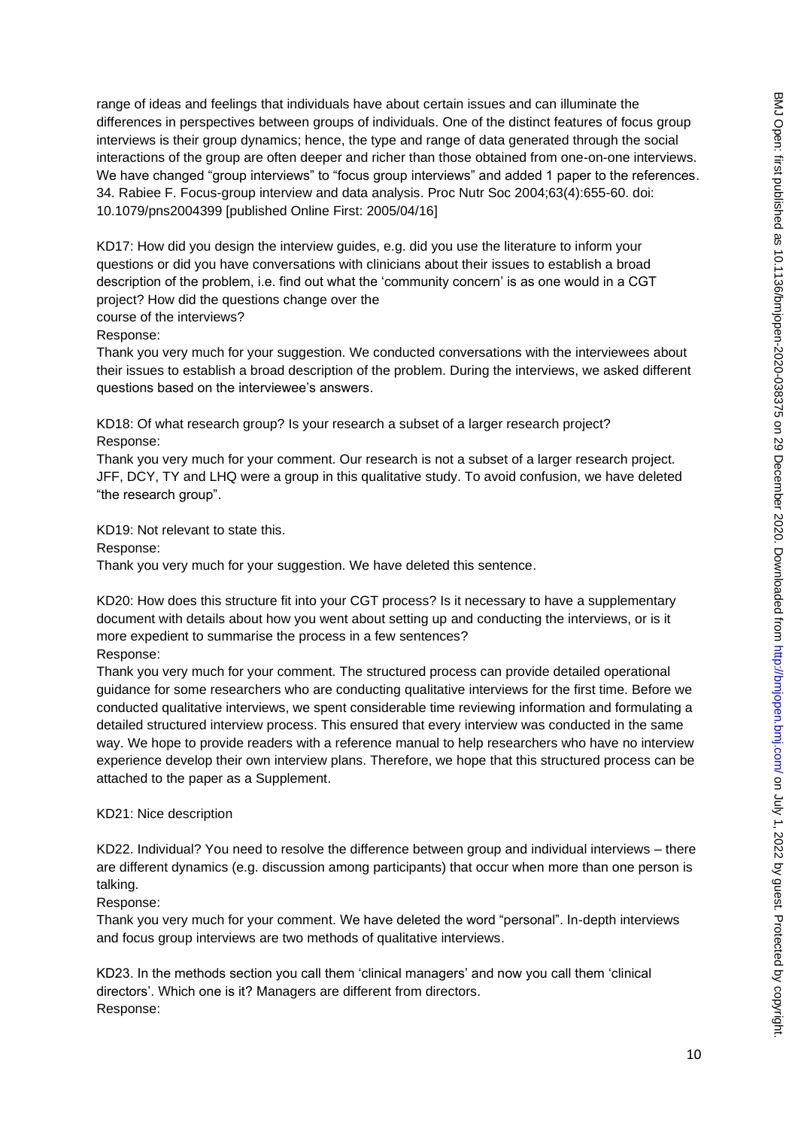range of ideas and feelings that individuals have about certain issues and can illuminate the differences in perspectives between groups of individuals. One of the distinct features of focus group interviews is their group dynamics; hence, the type and range of data generated through the social interactions of the group are often deeper and richer than those obtained from one-on-one interviews. We have changed "group interviews" to "focus group interviews" and added 1 paper to the references. 34. Rabiee F. Focus-group interview and data analysis. Proc Nutr Soc 2004;63(4):655-60. doi: 10.1079/pns2004399 [published Online First: 2005/04/16]

KD17: How did you design the interview guides, e.g. did you use the literature to inform your questions or did you have conversations with clinicians about their issues to establish a broad description of the problem, i.e. find out what the 'community concern' is as one would in a CGT project? How did the questions change over the

#### course of the interviews?

Response:

Thank you very much for your suggestion. We conducted conversations with the interviewees about their issues to establish a broad description of the problem. During the interviews, we asked different questions based on the interviewee's answers.

KD18: Of what research group? Is your research a subset of a larger research project? Response:

Thank you very much for your comment. Our research is not a subset of a larger research project. JFF, DCY, TY and LHQ were a group in this qualitative study. To avoid confusion, we have deleted "the research group".

KD19: Not relevant to state this.

Response:

Thank you very much for your suggestion. We have deleted this sentence.

KD20: How does this structure fit into your CGT process? Is it necessary to have a supplementary document with details about how you went about setting up and conducting the interviews, or is it more expedient to summarise the process in a few sentences? Response:

Thank you very much for your comment. The structured process can provide detailed operational guidance for some researchers who are conducting qualitative interviews for the first time. Before we conducted qualitative interviews, we spent considerable time reviewing information and formulating a detailed structured interview process. This ensured that every interview was conducted in the same way. We hope to provide readers with a reference manual to help researchers who have no interview experience develop their own interview plans. Therefore, we hope that this structured process can be attached to the paper as a Supplement.

#### KD21: Nice description

KD22. Individual? You need to resolve the difference between group and individual interviews – there are different dynamics (e.g. discussion among participants) that occur when more than one person is talking.

### Response:

Thank you very much for your comment. We have deleted the word "personal". In-depth interviews and focus group interviews are two methods of qualitative interviews.

KD23. In the methods section you call them 'clinical managers' and now you call them 'clinical directors'. Which one is it? Managers are different from directors. Response: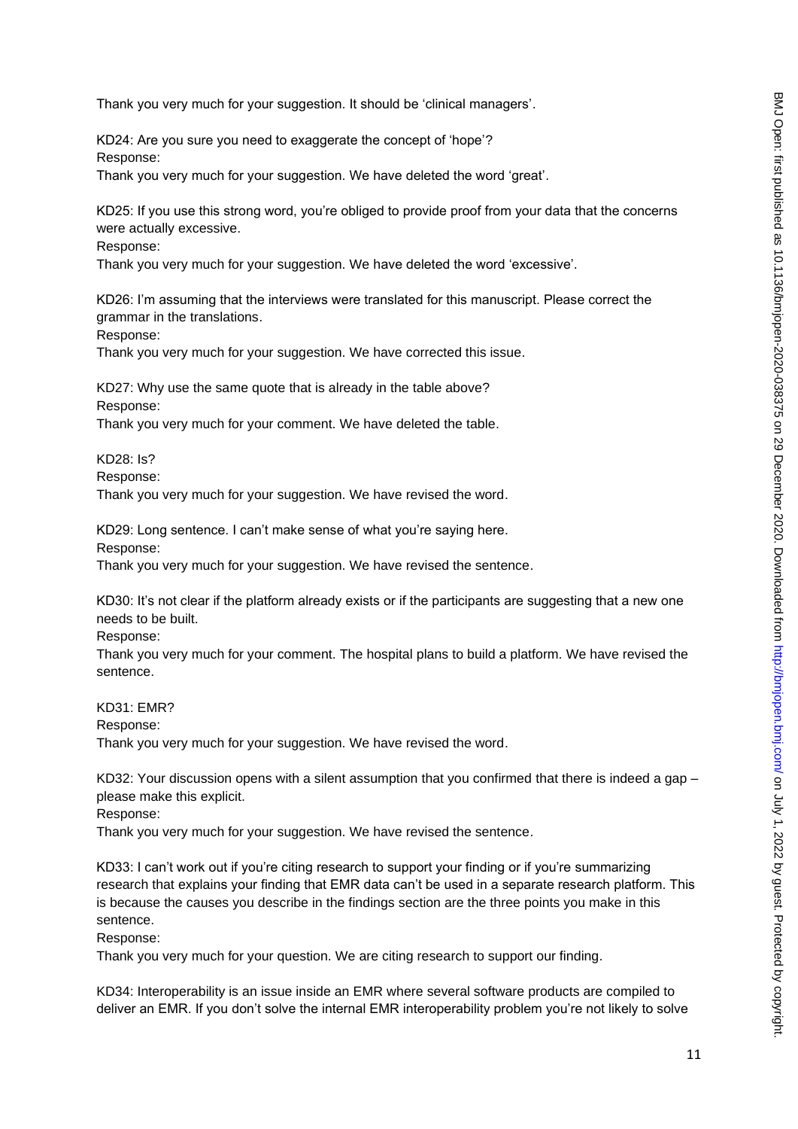Thank you very much for your suggestion. It should be 'clinical managers'.

KD24: Are you sure you need to exaggerate the concept of 'hope'? Response: Thank you very much for your suggestion. We have deleted the word 'great'.

KD25: If you use this strong word, you're obliged to provide proof from your data that the concerns were actually excessive.

Response:

Thank you very much for your suggestion. We have deleted the word 'excessive'.

KD26: I'm assuming that the interviews were translated for this manuscript. Please correct the grammar in the translations.

Response:

Thank you very much for your suggestion. We have corrected this issue.

KD27: Why use the same quote that is already in the table above? Response:

Thank you very much for your comment. We have deleted the table.

KD28: Is?

Response:

Thank you very much for your suggestion. We have revised the word.

KD29: Long sentence. I can't make sense of what you're saying here. Response:

Thank you very much for your suggestion. We have revised the sentence.

KD30: It's not clear if the platform already exists or if the participants are suggesting that a new one needs to be built.

Response:

Thank you very much for your comment. The hospital plans to build a platform. We have revised the sentence.

KD31: EMR?

Response:

Thank you very much for your suggestion. We have revised the word.

KD32: Your discussion opens with a silent assumption that you confirmed that there is indeed a gap – please make this explicit.

Response:

Thank you very much for your suggestion. We have revised the sentence.

KD33: I can't work out if you're citing research to support your finding or if you're summarizing research that explains your finding that EMR data can't be used in a separate research platform. This is because the causes you describe in the findings section are the three points you make in this sentence.

Response:

Thank you very much for your question. We are citing research to support our finding.

KD34: Interoperability is an issue inside an EMR where several software products are compiled to deliver an EMR. If you don't solve the internal EMR interoperability problem you're not likely to solve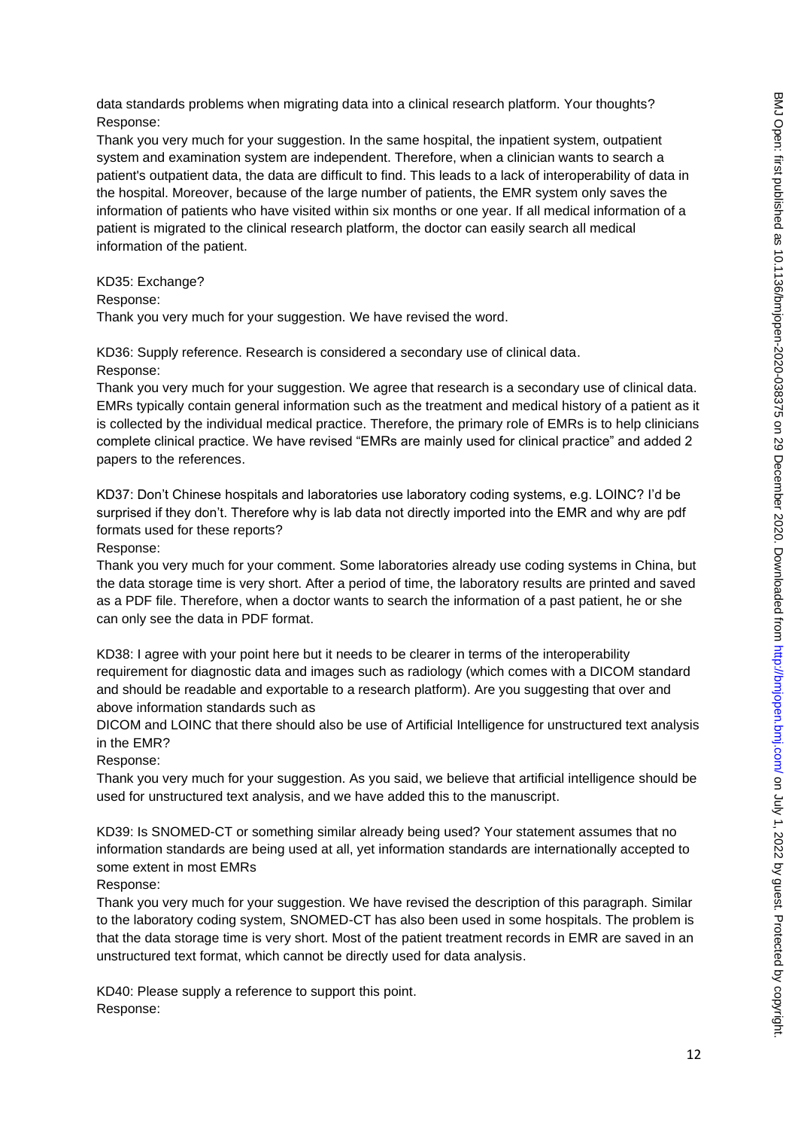data standards problems when migrating data into a clinical research platform. Your thoughts? Response:

Thank you very much for your suggestion. In the same hospital, the inpatient system, outpatient system and examination system are independent. Therefore, when a clinician wants to search a patient's outpatient data, the data are difficult to find. This leads to a lack of interoperability of data in the hospital. Moreover, because of the large number of patients, the EMR system only saves the information of patients who have visited within six months or one year. If all medical information of a patient is migrated to the clinical research platform, the doctor can easily search all medical information of the patient.

#### KD35: Exchange?

Response:

Thank you very much for your suggestion. We have revised the word.

KD36: Supply reference. Research is considered a secondary use of clinical data. Response:

Thank you very much for your suggestion. We agree that research is a secondary use of clinical data. EMRs typically contain general information such as the treatment and medical history of a patient as it is collected by the individual medical practice. Therefore, the primary role of EMRs is to help clinicians complete clinical practice. We have revised "EMRs are mainly used for clinical practice" and added 2 papers to the references.

KD37: Don't Chinese hospitals and laboratories use laboratory coding systems, e.g. LOINC? I'd be surprised if they don't. Therefore why is lab data not directly imported into the EMR and why are pdf formats used for these reports?

Response:

Thank you very much for your comment. Some laboratories already use coding systems in China, but the data storage time is very short. After a period of time, the laboratory results are printed and saved as a PDF file. Therefore, when a doctor wants to search the information of a past patient, he or she can only see the data in PDF format.

KD38: I agree with your point here but it needs to be clearer in terms of the interoperability requirement for diagnostic data and images such as radiology (which comes with a DICOM standard and should be readable and exportable to a research platform). Are you suggesting that over and above information standards such as

DICOM and LOINC that there should also be use of Artificial Intelligence for unstructured text analysis in the EMR?

Response:

Thank you very much for your suggestion. As you said, we believe that artificial intelligence should be used for unstructured text analysis, and we have added this to the manuscript.

KD39: Is SNOMED-CT or something similar already being used? Your statement assumes that no information standards are being used at all, yet information standards are internationally accepted to some extent in most EMRs

Response:

Thank you very much for your suggestion. We have revised the description of this paragraph. Similar to the laboratory coding system, SNOMED-CT has also been used in some hospitals. The problem is that the data storage time is very short. Most of the patient treatment records in EMR are saved in an unstructured text format, which cannot be directly used for data analysis.

KD40: Please supply a reference to support this point. Response: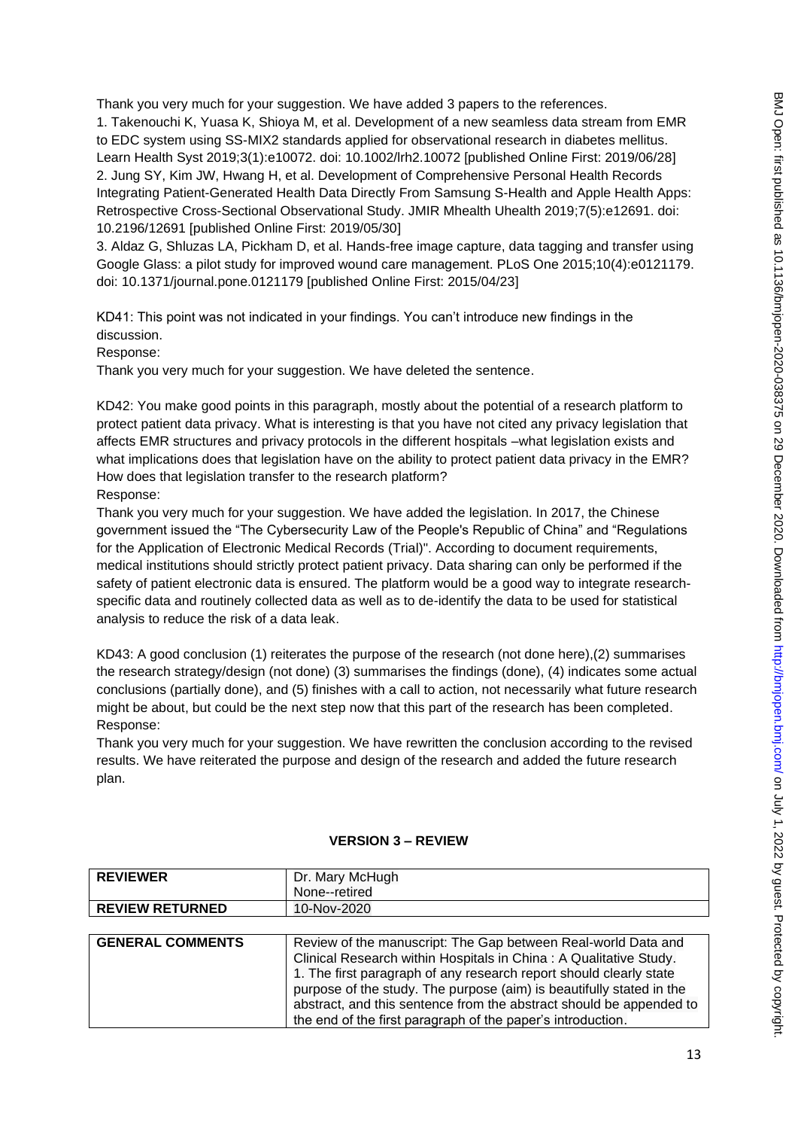Thank you very much for your suggestion. We have added 3 papers to the references.

1. Takenouchi K, Yuasa K, Shioya M, et al. Development of a new seamless data stream from EMR to EDC system using SS-MIX2 standards applied for observational research in diabetes mellitus. Learn Health Syst 2019;3(1):e10072. doi: 10.1002/lrh2.10072 [published Online First: 2019/06/28] 2. Jung SY, Kim JW, Hwang H, et al. Development of Comprehensive Personal Health Records Integrating Patient-Generated Health Data Directly From Samsung S-Health and Apple Health Apps: Retrospective Cross-Sectional Observational Study. JMIR Mhealth Uhealth 2019;7(5):e12691. doi: 10.2196/12691 [published Online First: 2019/05/30]

3. Aldaz G, Shluzas LA, Pickham D, et al. Hands-free image capture, data tagging and transfer using Google Glass: a pilot study for improved wound care management. PLoS One 2015;10(4):e0121179. doi: 10.1371/journal.pone.0121179 [published Online First: 2015/04/23]

KD41: This point was not indicated in your findings. You can't introduce new findings in the discussion.

Response:

Thank you very much for your suggestion. We have deleted the sentence.

KD42: You make good points in this paragraph, mostly about the potential of a research platform to protect patient data privacy. What is interesting is that you have not cited any privacy legislation that affects EMR structures and privacy protocols in the different hospitals –what legislation exists and what implications does that legislation have on the ability to protect patient data privacy in the EMR? How does that legislation transfer to the research platform? Response:

Thank you very much for your suggestion. We have added the legislation. In 2017, the Chinese government issued the "The Cybersecurity Law of the People's Republic of China" and "Regulations for the Application of Electronic Medical Records (Trial)". According to document requirements, medical institutions should strictly protect patient privacy. Data sharing can only be performed if the safety of patient electronic data is ensured. The platform would be a good way to integrate researchspecific data and routinely collected data as well as to de-identify the data to be used for statistical analysis to reduce the risk of a data leak.

KD43: A good conclusion (1) reiterates the purpose of the research (not done here),(2) summarises the research strategy/design (not done) (3) summarises the findings (done), (4) indicates some actual conclusions (partially done), and (5) finishes with a call to action, not necessarily what future research might be about, but could be the next step now that this part of the research has been completed. Response:

Thank you very much for your suggestion. We have rewritten the conclusion according to the revised results. We have reiterated the purpose and design of the research and added the future research plan.

| <b>REVIEWER</b><br><b>REVIEW RETURNED</b> | Dr. Mary McHugh<br>None--retired<br>10-Nov-2020                                                                                                                                                                                                                                                                                                                                                                        |
|-------------------------------------------|------------------------------------------------------------------------------------------------------------------------------------------------------------------------------------------------------------------------------------------------------------------------------------------------------------------------------------------------------------------------------------------------------------------------|
|                                           |                                                                                                                                                                                                                                                                                                                                                                                                                        |
| <b>GENERAL COMMENTS</b>                   | Review of the manuscript: The Gap between Real-world Data and<br>Clinical Research within Hospitals in China: A Qualitative Study.<br>1. The first paragraph of any research report should clearly state<br>purpose of the study. The purpose (aim) is beautifully stated in the<br>abstract, and this sentence from the abstract should be appended to<br>the end of the first paragraph of the paper's introduction. |

### **VERSION 3 – REVIEW**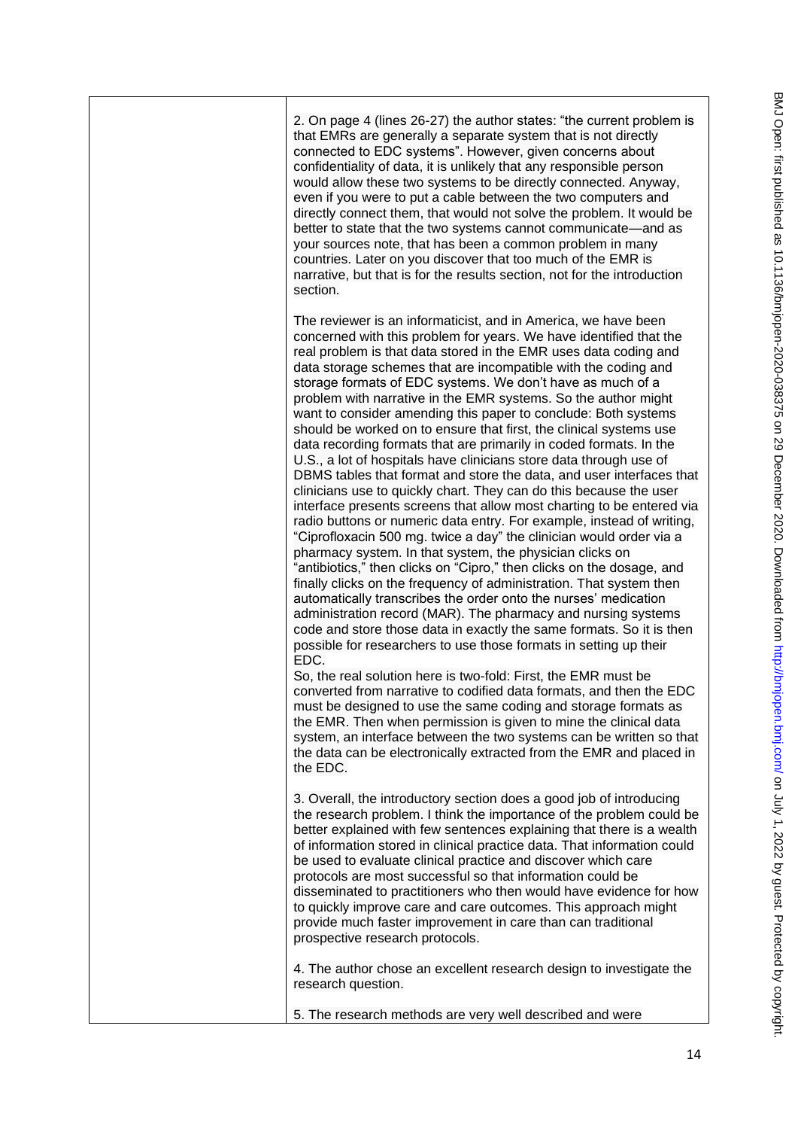2. On page 4 (lines 26-27) the author states: "the current problem is that EMRs are generally a separate system that is not directly connected to EDC systems". However, given concerns about confidentiality of data, it is unlikely that any responsible person would allow these two systems to be directly connected. Anyway, even if you were to put a cable between the two computers and directly connect them, that would not solve the problem. It would be better to state that the two systems cannot communicate—and as your sources note, that has been a common problem in many countries. Later on you discover that too much of the EMR is narrative, but that is for the results section, not for the introduction section. The reviewer is an informaticist, and in America, we have been concerned with this problem for years. We have identified that the real problem is that data stored in the EMR uses data coding and data storage schemes that are incompatible with the coding and storage formats of EDC systems. We don't have as much of a problem with narrative in the EMR systems. So the author might want to consider amending this paper to conclude: Both systems should be worked on to ensure that first, the clinical systems use data recording formats that are primarily in coded formats. In the U.S., a lot of hospitals have clinicians store data through use of DBMS tables that format and store the data, and user interfaces that clinicians use to quickly chart. They can do this because the user interface presents screens that allow most charting to be entered via radio buttons or numeric data entry. For example, instead of writing, "Ciprofloxacin 500 mg. twice a day" the clinician would order via a pharmacy system. In that system, the physician clicks on "antibiotics," then clicks on "Cipro," then clicks on the dosage, and finally clicks on the frequency of administration. That system then automatically transcribes the order onto the nurses' medication administration record (MAR). The pharmacy and nursing systems code and store those data in exactly the same formats. So it is then possible for researchers to use those formats in setting up their EDC. So, the real solution here is two-fold: First, the EMR must be converted from narrative to codified data formats, and then the EDC must be designed to use the same coding and storage formats as the EMR. Then when permission is given to mine the clinical data system, an interface between the two systems can be written so that the data can be electronically extracted from the EMR and placed in the EDC. 3. Overall, the introductory section does a good job of introducing the research problem. I think the importance of the problem could be better explained with few sentences explaining that there is a wealth of information stored in clinical practice data. That information could be used to evaluate clinical practice and discover which care protocols are most successful so that information could be disseminated to practitioners who then would have evidence for how to quickly improve care and care outcomes. This approach might provide much faster improvement in care than can traditional prospective research protocols. 4. The author chose an excellent research design to investigate the research question. 5. The research methods are very well described and were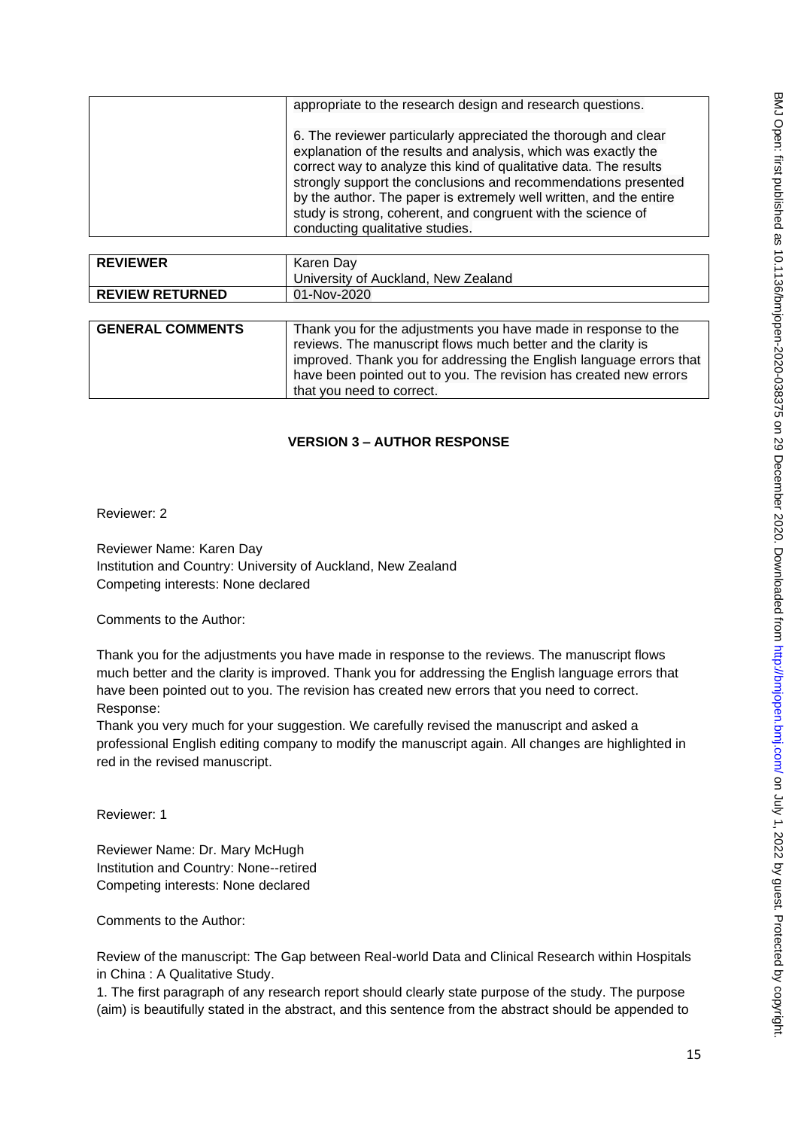| appropriate to the research design and research questions.                                                                                                                                                                                                                                                                                                                                                                                        |
|---------------------------------------------------------------------------------------------------------------------------------------------------------------------------------------------------------------------------------------------------------------------------------------------------------------------------------------------------------------------------------------------------------------------------------------------------|
| 6. The reviewer particularly appreciated the thorough and clear<br>explanation of the results and analysis, which was exactly the<br>correct way to analyze this kind of qualitative data. The results<br>strongly support the conclusions and recommendations presented<br>by the author. The paper is extremely well written, and the entire<br>study is strong, coherent, and congruent with the science of<br>conducting qualitative studies. |
|                                                                                                                                                                                                                                                                                                                                                                                                                                                   |

| <b>REVIEWER</b>        | Karen Dav                           |
|------------------------|-------------------------------------|
|                        | University of Auckland, New Zealand |
| <b>REVIEW RETURNED</b> | 01-Nov-2020                         |
|                        |                                     |

| <b>GENERAL COMMENTS</b> | Thank you for the adjustments you have made in response to the<br>reviews. The manuscript flows much better and the clarity is<br>improved. Thank you for addressing the English language errors that |
|-------------------------|-------------------------------------------------------------------------------------------------------------------------------------------------------------------------------------------------------|
|                         | have been pointed out to you. The revision has created new errors<br>that you need to correct.                                                                                                        |

# **VERSION 3 – AUTHOR RESPONSE**

Reviewer: 2

Reviewer Name: Karen Day Institution and Country: University of Auckland, New Zealand Competing interests: None declared

Comments to the Author:

Thank you for the adjustments you have made in response to the reviews. The manuscript flows much better and the clarity is improved. Thank you for addressing the English language errors that have been pointed out to you. The revision has created new errors that you need to correct. Response:

Thank you very much for your suggestion. We carefully revised the manuscript and asked a professional English editing company to modify the manuscript again. All changes are highlighted in red in the revised manuscript.

Reviewer: 1

Reviewer Name: Dr. Mary McHugh Institution and Country: None--retired Competing interests: None declared

Comments to the Author:

Review of the manuscript: The Gap between Real-world Data and Clinical Research within Hospitals in China : A Qualitative Study.

1. The first paragraph of any research report should clearly state purpose of the study. The purpose (aim) is beautifully stated in the abstract, and this sentence from the abstract should be appended to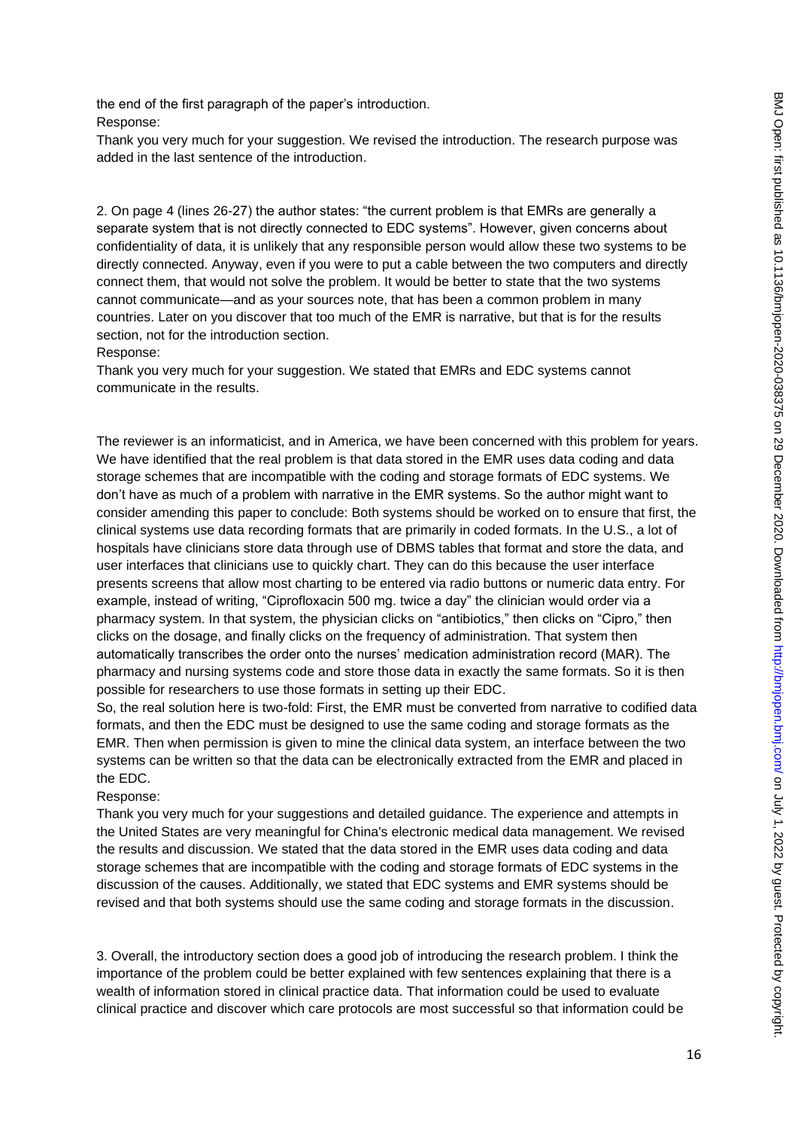the end of the first paragraph of the paper's introduction. Response:

Thank you very much for your suggestion. We revised the introduction. The research purpose was added in the last sentence of the introduction.

2. On page 4 (lines 26-27) the author states: "the current problem is that EMRs are generally a separate system that is not directly connected to EDC systems". However, given concerns about confidentiality of data, it is unlikely that any responsible person would allow these two systems to be directly connected. Anyway, even if you were to put a cable between the two computers and directly connect them, that would not solve the problem. It would be better to state that the two systems cannot communicate—and as your sources note, that has been a common problem in many countries. Later on you discover that too much of the EMR is narrative, but that is for the results section, not for the introduction section.

#### Response:

Thank you very much for your suggestion. We stated that EMRs and EDC systems cannot communicate in the results.

The reviewer is an informaticist, and in America, we have been concerned with this problem for years. We have identified that the real problem is that data stored in the EMR uses data coding and data storage schemes that are incompatible with the coding and storage formats of EDC systems. We don't have as much of a problem with narrative in the EMR systems. So the author might want to consider amending this paper to conclude: Both systems should be worked on to ensure that first, the clinical systems use data recording formats that are primarily in coded formats. In the U.S., a lot of hospitals have clinicians store data through use of DBMS tables that format and store the data, and user interfaces that clinicians use to quickly chart. They can do this because the user interface presents screens that allow most charting to be entered via radio buttons or numeric data entry. For example, instead of writing, "Ciprofloxacin 500 mg. twice a day" the clinician would order via a pharmacy system. In that system, the physician clicks on "antibiotics," then clicks on "Cipro," then clicks on the dosage, and finally clicks on the frequency of administration. That system then automatically transcribes the order onto the nurses' medication administration record (MAR). The pharmacy and nursing systems code and store those data in exactly the same formats. So it is then possible for researchers to use those formats in setting up their EDC.

So, the real solution here is two-fold: First, the EMR must be converted from narrative to codified data formats, and then the EDC must be designed to use the same coding and storage formats as the EMR. Then when permission is given to mine the clinical data system, an interface between the two systems can be written so that the data can be electronically extracted from the EMR and placed in the EDC.

#### Response:

Thank you very much for your suggestions and detailed guidance. The experience and attempts in the United States are very meaningful for China's electronic medical data management. We revised the results and discussion. We stated that the data stored in the EMR uses data coding and data storage schemes that are incompatible with the coding and storage formats of EDC systems in the discussion of the causes. Additionally, we stated that EDC systems and EMR systems should be revised and that both systems should use the same coding and storage formats in the discussion.

3. Overall, the introductory section does a good job of introducing the research problem. I think the importance of the problem could be better explained with few sentences explaining that there is a wealth of information stored in clinical practice data. That information could be used to evaluate clinical practice and discover which care protocols are most successful so that information could be